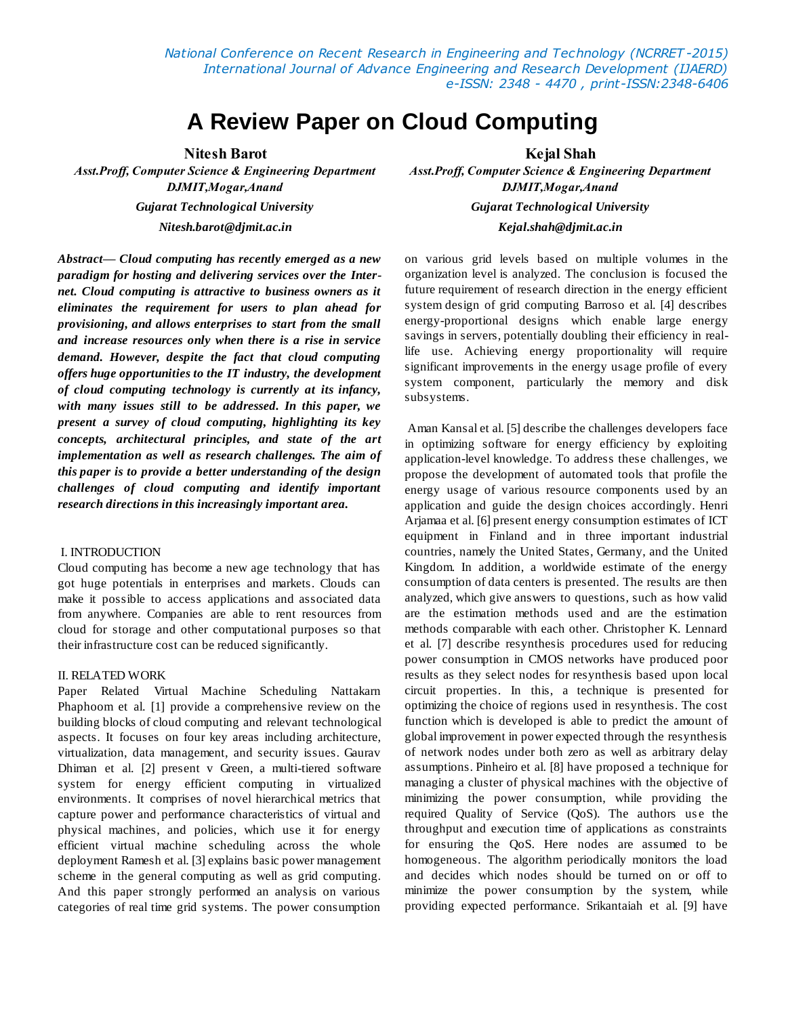*National Conference on Recent Research in Engineering and Technology (NCRRET -2015) International Journal of Advance Engineering and Research Development (IJAERD) e-ISSN: 2348 - 4470 , print-ISSN:2348-6406*

# **A Review Paper on Cloud Computing**

**Nitesh Barot Kejal Shah**

*Nitesh.barot@djmit.ac.in Kejal.shah@djmit.ac.in*

*Abstract***—** *Cloud computing has recently emerged as a new paradigm for hosting and delivering services over the Internet. Cloud computing is attractive to business owners as it eliminates the requirement for users to plan ahead for provisioning, and allows enterprises to start from the small and increase resources only when there is a rise in service demand. However, despite the fact that cloud computing offers huge opportunities to the IT industry, the development of cloud computing technology is currently at its infancy, with many issues still to be addressed. In this paper, we present a survey of cloud computing, highlighting its key concepts, architectural principles, and state of the art implementation as well as research challenges. The aim of this paper is to provide a better understanding of the design challenges of cloud computing and identify important research directions in this increasingly important area.*

#### I. INTRODUCTION

Cloud computing has become a new age technology that has got huge potentials in enterprises and markets. Clouds can make it possible to access applications and associated data from anywhere. Companies are able to rent resources from cloud for storage and other computational purposes so that their infrastructure cost can be reduced significantly.

#### II. RELATED WORK

Paper Related Virtual Machine Scheduling Nattakarn Phaphoom et al. [1] provide a comprehensive review on the building blocks of cloud computing and relevant technological aspects. It focuses on four key areas including architecture, virtualization, data management, and security issues. Gaurav Dhiman et al. [2] present v Green, a multi-tiered software system for energy efficient computing in virtualized environments. It comprises of novel hierarchical metrics that capture power and performance characteristics of virtual and physical machines, and policies, which use it for energy efficient virtual machine scheduling across the whole deployment Ramesh et al. [3] explains basic power management scheme in the general computing as well as grid computing. And this paper strongly performed an analysis on various categories of real time grid systems. The power consumption

*Asst.Proff, Computer Science & Engineering Department Asst.Proff, Computer Science & Engineering Department DJMIT,Mogar,Anand DJMIT,Mogar,Anand Gujarat Technological University Gujarat Technological University*

> on various grid levels based on multiple volumes in the organization level is analyzed. The conclusion is focused the future requirement of research direction in the energy efficient system design of grid computing Barroso et al. [4] describes energy-proportional designs which enable large energy savings in servers, potentially doubling their efficiency in reallife use. Achieving energy proportionality will require significant improvements in the energy usage profile of every system component, particularly the memory and disk subsystems.

> Aman Kansal et al. [5] describe the challenges developers face in optimizing software for energy efficiency by exploiting application-level knowledge. To address these challenges, we propose the development of automated tools that profile the energy usage of various resource components used by an application and guide the design choices accordingly. Henri Arjamaa et al. [6] present energy consumption estimates of ICT equipment in Finland and in three important industrial countries, namely the United States, Germany, and the United Kingdom. In addition, a worldwide estimate of the energy consumption of data centers is presented. The results are then analyzed, which give answers to questions, such as how valid are the estimation methods used and are the estimation methods comparable with each other. Christopher K. Lennard et al. [7] describe resynthesis procedures used for reducing power consumption in CMOS networks have produced poor results as they select nodes for resynthesis based upon local circuit properties. In this, a technique is presented for optimizing the choice of regions used in resynthesis. The cost function which is developed is able to predict the amount of global improvement in power expected through the resynthesis of network nodes under both zero as well as arbitrary delay assumptions. Pinheiro et al. [8] have proposed a technique for managing a cluster of physical machines with the objective of minimizing the power consumption, while providing the required Quality of Service (QoS). The authors use the throughput and execution time of applications as constraints for ensuring the QoS. Here nodes are assumed to be homogeneous. The algorithm periodically monitors the load and decides which nodes should be turned on or off to minimize the power consumption by the system, while providing expected performance. Srikantaiah et al. [9] have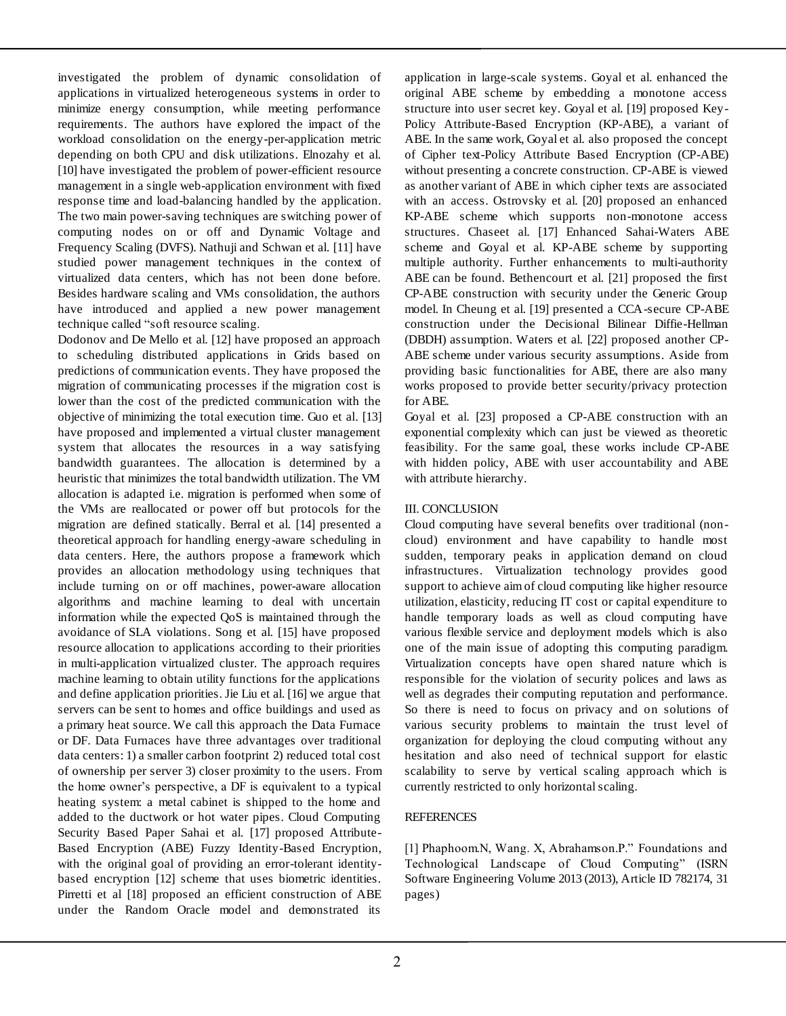investigated the problem of dynamic consolidation of applications in virtualized heterogeneous systems in order to minimize energy consumption, while meeting performance requirements. The authors have explored the impact of the workload consolidation on the energy-per-application metric depending on both CPU and disk utilizations. Elnozahy et al. [10] have investigated the problem of power-efficient resource management in a single web-application environment with fixed response time and load-balancing handled by the application. The two main power-saving techniques are switching power of computing nodes on or off and Dynamic Voltage and Frequency Scaling (DVFS). Nathuji and Schwan et al. [11] have studied power management techniques in the context of virtualized data centers, which has not been done before. Besides hardware scaling and VMs consolidation, the authors have introduced and applied a new power management technique called "soft resource scaling.

Dodonov and De Mello et al. [12] have proposed an approach to scheduling distributed applications in Grids based on predictions of communication events. They have proposed the migration of communicating processes if the migration cost is lower than the cost of the predicted communication with the objective of minimizing the total execution time. Guo et al*.* [13] have proposed and implemented a virtual cluster management system that allocates the resources in a way satisfying bandwidth guarantees. The allocation is determined by a heuristic that minimizes the total bandwidth utilization. The VM allocation is adapted i.e. migration is performed when some of the VMs are reallocated or power off but protocols for the migration are defined statically. Berral et al*.* [14] presented a theoretical approach for handling energy-aware scheduling in data centers. Here, the authors propose a framework which provides an allocation methodology using techniques that include turning on or off machines, power-aware allocation algorithms and machine learning to deal with uncertain information while the expected QoS is maintained through the avoidance of SLA violations. Song et al. [15] have proposed resource allocation to applications according to their priorities in multi-application virtualized cluster. The approach requires machine learning to obtain utility functions for the applications and define application priorities. Jie Liu et al. [16] we argue that servers can be sent to homes and office buildings and used as a primary heat source. We call this approach the Data Furnace or DF. Data Furnaces have three advantages over traditional data centers: 1) a smaller carbon footprint 2) reduced total cost of ownership per server 3) closer proximity to the users. From the home owner's perspective, a DF is equivalent to a typical heating system: a metal cabinet is shipped to the home and added to the ductwork or hot water pipes. Cloud Computing Security Based Paper Sahai et al. [17] proposed Attribute-Based Encryption (ABE) Fuzzy Identity-Based Encryption, with the original goal of providing an error-tolerant identitybased encryption [12] scheme that uses biometric identities. Pirretti et al [18] proposed an efficient construction of ABE under the Random Oracle model and demonstrated its

֡֡֡֡֡

application in large-scale systems. Goyal et al. enhanced the original ABE scheme by embedding a monotone access structure into user secret key. Goyal et al. [19] proposed Key-Policy Attribute-Based Encryption (KP-ABE), a variant of ABE. In the same work, Goyal et al. also proposed the concept of Cipher text-Policy Attribute Based Encryption (CP-ABE) without presenting a concrete construction. CP-ABE is viewed as another variant of ABE in which cipher texts are associated with an access. Ostrovsky et al. [20] proposed an enhanced KP-ABE scheme which supports non-monotone access structures. Chaseet al. [17] Enhanced Sahai-Waters ABE scheme and Goyal et al. KP-ABE scheme by supporting multiple authority. Further enhancements to multi-authority ABE can be found. Bethencourt et al. [21] proposed the first CP-ABE construction with security under the Generic Group model. In Cheung et al. [19] presented a CCA-secure CP-ABE construction under the Decisional Bilinear Diffie-Hellman (DBDH) assumption. Waters et al. [22] proposed another CP-ABE scheme under various security assumptions. Aside from providing basic functionalities for ABE, there are also many works proposed to provide better security/privacy protection for ABE.

Goyal et al. [23] proposed a CP-ABE construction with an exponential complexity which can just be viewed as theoretic feasibility. For the same goal, these works include CP-ABE with hidden policy, ABE with user accountability and ABE with attribute hierarchy.

## III. CONCLUSION

Cloud computing have several benefits over traditional (noncloud) environment and have capability to handle most sudden, temporary peaks in application demand on cloud infrastructures. Virtualization technology provides good support to achieve aim of cloud computing like higher resource utilization, elasticity, reducing IT cost or capital expenditure to handle temporary loads as well as cloud computing have various flexible service and deployment models which is also one of the main issue of adopting this computing paradigm. Virtualization concepts have open shared nature which is responsible for the violation of security polices and laws as well as degrades their computing reputation and performance. So there is need to focus on privacy and on solutions of various security problems to maintain the trust level of organization for deploying the cloud computing without any hesitation and also need of technical support for elastic scalability to serve by vertical scaling approach which is currently restricted to only horizontal scaling.

### **REFERENCES**

[1] Phaphoom.N, Wang. X, Abrahamson.P." Foundations and Technological Landscape of Cloud Computing" (ISRN Software Engineering Volume 2013 (2013), Article ID 782174, 31 pages)